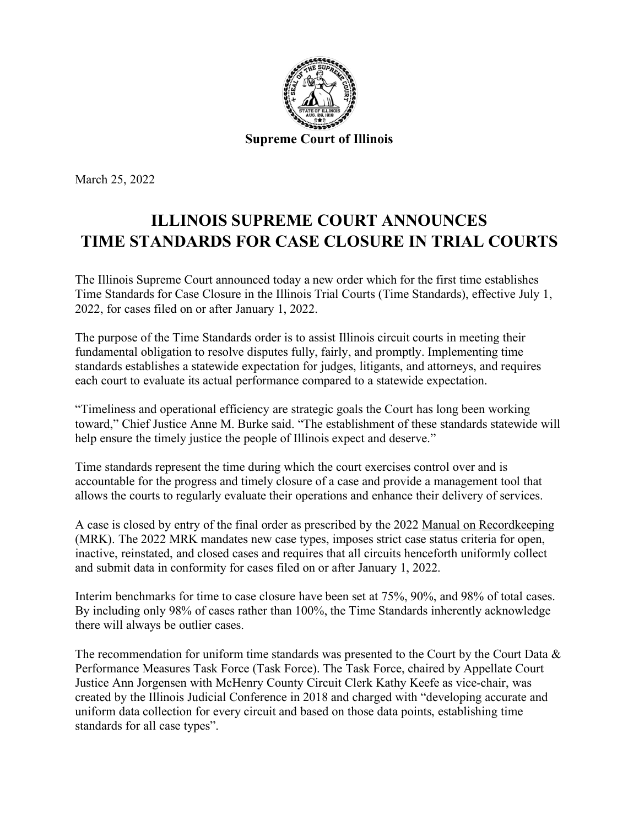

March 25, 2022

## **ILLINOIS SUPREME COURT ANNOUNCES TIME STANDARDS FOR CASE CLOSURE IN TRIAL COURTS**

The Illinois Supreme Court announced today a new order which for the first time establishes Time Standards for Case Closure in the Illinois Trial Courts (Time Standards), effective July 1, 2022, for cases filed on or after January 1, 2022.

The purpose of the Time Standards order is to assist Illinois circuit courts in meeting their fundamental obligation to resolve disputes fully, fairly, and promptly. Implementing time standards establishes a statewide expectation for judges, litigants, and attorneys, and requires each court to evaluate its actual performance compared to a statewide expectation.

"Timeliness and operational efficiency are strategic goals the Court has long been working toward," Chief Justice Anne M. Burke said. "The establishment of these standards statewide will help ensure the timely justice the people of Illinois expect and deserve."

Time standards represent the time during which the court exercises control over and is accountable for the progress and timely closure of a case and provide a management tool that allows the courts to regularly evaluate their operations and enhance their delivery of services.

A case is closed by entry of the final order as prescribed by the 2022 Manual on [Recordkeeping](https://www.illinoiscourts.gov/courts/circuit-court/manual-on-recordkeeping/) (MRK). The 2022 MRK mandates new case types, imposes strict case status criteria for open, inactive, reinstated, and closed cases and requires that all circuits henceforth uniformly collect and submit data in conformity for cases filed on or after January 1, 2022.

Interim benchmarks for time to case closure have been set at 75%, 90%, and 98% of total cases. By including only 98% of cases rather than 100%, the Time Standards inherently acknowledge there will always be outlier cases.

The recommendation for uniform time standards was presented to the Court by the Court Data & Performance Measures Task Force (Task Force). The Task Force, chaired by Appellate Court Justice Ann Jorgensen with McHenry County Circuit Clerk Kathy Keefe as vice-chair, was created by the Illinois Judicial Conference in 2018 and charged with "developing accurate and uniform data collection for every circuit and based on those data points, establishing time standards for all case types".